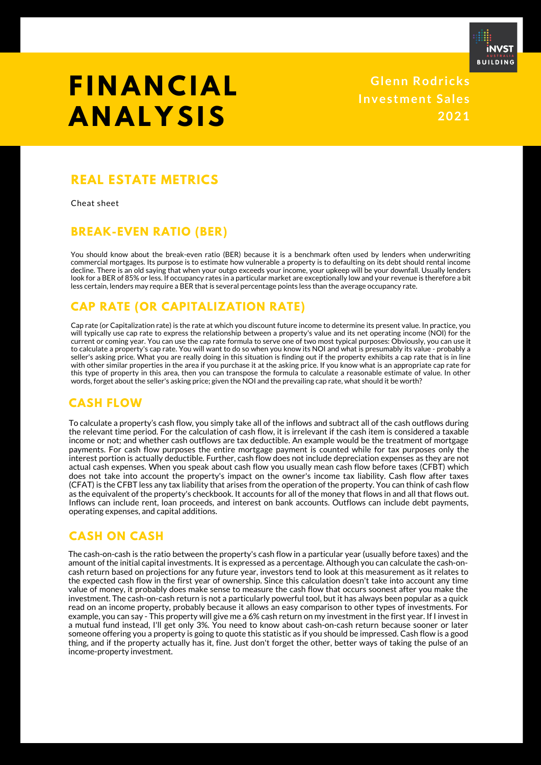

## **F I N A N C I A L A N A L Y SIS**

**Glenn Rodr icks Inves tment Sales 2021**

## **REAL ESTATE METRICS**

Cheat sheet

### **BREAK-EVEN RATIO (BER)**

You should know about the break-even ratio (BER) because it is a benchmark often used by lenders when underwriting commercial mortgages. Its purpose is to estimate how vulnerable a property is to defaulting on its debt should rental income decline. There is an old saying that when your outgo exceeds your income, your upkeep will be your downfall. Usually lenders look for a BER of 85% or less. If occupancy rates in a particular market are exceptionally low and your revenue is therefore a bit less certain, lenders may require a BER that is several percentage points less than the average occupancy rate.

## **CAP RATE (OR CAPITALIZATION RATE)**

Cap rate (or Capitalization rate) is the rate at which you discount future income to determine its present value. In practice, you will typically use cap rate to express the relationship between a property's value and its net operating income (NOI) for the current or coming year. You can use the cap rate formula to serve one of two most typical purposes: Obviously, you can use it to calculate a property's cap rate. You will want to do so when you know its NOI and what is presumably its value - probably a seller's asking price. What you are really doing in this situation is finding out if the property exhibits a cap rate that is in line with other similar properties in the area if you purchase it at the asking price. If you know what is an appropriate cap rate for this type of property in this area, then you can transpose the formula to calculate a reasonable estimate of value. In other words, forget about the seller's asking price; given the NOI and the prevailing cap rate, what should it be worth?

### **CASH FLOW**

To calculate a property's cash flow, you simply take all of the inflows and subtract all of the cash outflows during the relevant time period. For the calculation of cash flow, it is irrelevant if the cash item is considered a taxable income or not; and whether cash outflows are tax deductible. An example would be the treatment of mortgage payments. For cash flow purposes the entire mortgage payment is counted while for tax purposes only the interest portion is actually deductible. Further, cash flow does not include depreciation expenses as they are not actual cash expenses. When you speak about cash flow you usually mean cash flow before taxes (CFBT) which does not take into account the property's impact on the owner's income tax liability. Cash flow after taxes (CFAT) is the CFBT less any tax liability that arises from the operation of the property. You can think of cash flow as the equivalent of the property's checkbook. It accounts for all of the money that flows in and all that flows out. Inflows can include rent, loan proceeds, and interest on bank accounts. Outflows can include debt payments, operating expenses, and capital additions.

## **CASH ON CASH**

The cash-on-cash is the ratio between the property's cash flow in a particular year (usually before taxes) and the amount of the initial capital investments. It is expressed as a percentage. Although you can calculate the cash-oncash return based on projections for any future year, investors tend to look at this measurement as it relates to the expected cash flow in the first year of ownership. Since this calculation doesn't take into account any time value of money, it probably does make sense to measure the cash flow that occurs soonest after you make the investment. The cash-on-cash return is not a particularly powerful tool, but it has always been popular as a quick read on an income property, probably because it allows an easy comparison to other types of investments. For example, you can say - This property will give me a 6% cash return on my investment in the first year. If I invest in a mutual fund instead, I'll get only 3%. You need to know about cash-on-cash return because sooner or later someone offering you a property is going to quote this statistic as if you should be impressed. Cash flow is a good thing, and if the property actually has it, fine. Just don't forget the other, better ways of taking the pulse of an income-property investment.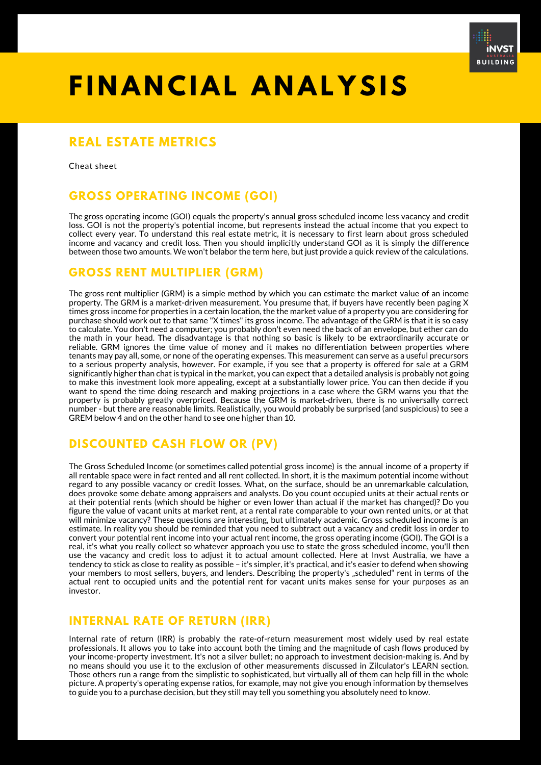

## **F I N A N C I A L A N A L Y SIS**

## **REAL ESTATE METRICS**

Cheat sheet

## **GROSS OPERATING INCOME (GOI)**

The gross operating income (GOI) equals the property's annual gross scheduled income less vacancy and credit loss. GOI is not the property's potential income, but represents instead the actual income that you expect to collect every year. To understand this real estate metric, it is necessary to first learn about gross scheduled income and vacancy and credit loss. Then you should implicitly understand GOI as it is simply the difference between those two amounts. We won't belabor the term here, but just provide a quick review of the calculations.

### **GROSS RENT MULTIPLIER (GRM)**

The gross rent multiplier (GRM) is a simple method by which you can estimate the market value of an income property. The GRM is a market-driven measurement. You presume that, if buyers have recently been paging X times gross income for properties in a certain location, the the market value of a property you are considering for purchase should work out to that same "X times" its gross income. The advantage of the GRM is that it is so easy to calculate. You don't need a computer; you probably don't even need the back of an envelope, but ether can do the math in your head. The disadvantage is that nothing so basic is likely to be extraordinarily accurate or reliable. GRM ignores the time value of money and it makes no differentiation between properties where tenants may pay all, some, or none of the operating expenses. This measurement can serve as a useful precursors to a serious property analysis, however. For example, if you see that a property is offered for sale at a GRM significantly higher than chat is typical in the market, you can expect that a detailed analysis is probably not going to make this investment look more appealing, except at a substantially lower price. You can then decide if you want to spend the time doing research and making projections in a case where the GRM warns you that the property is probably greatly overpriced. Because the GRM is market-driven, there is no universally correct number - but there are reasonable limits. Realistically, you would probably be surprised (and suspicious) to see a GREM below 4 and on the other hand to see one higher than 10.

## **DISCOUNTED CASH FLOW OR (PV)**

The Gross Scheduled Income (or sometimes called potential gross income) is the annual income of a property if all rentable space were in fact rented and all rent collected. In short, it is the maximum potential income without regard to any possible vacancy or credit losses. What, on the surface, should be an unremarkable calculation, does provoke some debate among appraisers and analysts. Do you count occupied units at their actual rents or at their potential rents (which should be higher or even lower than actual if the market has changed)? Do you figure the value of vacant units at market rent, at a rental rate comparable to your own rented units, or at that will minimize vacancy? These questions are interesting, but ultimately academic. Gross scheduled income is an estimate. In reality you should be reminded that you need to subtract out a vacancy and credit loss in order to convert your potential rent income into your actual rent income, the gross operating income (GOI). The GOI is a real, it's what you really collect so whatever approach you use to state the gross scheduled income, you'll then use the vacancy and credit loss to adjust it to actual amount collected. Here at Invst Australia, we have a tendency to stick as close to reality as possible – it's simpler, it's practical, and it's easier to defend when showing your members to most sellers, buyers, and lenders. Describing the property's "scheduled" rent in terms of the actual rent to occupied units and the potential rent for vacant units makes sense for your purposes as an investor.

## **INTERNAL RATE OF RETURN (IRR)**

Internal rate of return (IRR) is probably the rate-of-return measurement most widely used by real estate professionals. It allows you to take into account both the timing and the magnitude of cash flows produced by your income-property investment. It's not a silver bullet; no approach to investment decision-making is. And by no means should you use it to the exclusion of other measurements discussed in Zilculator's LEARN section. Those others run a range from the simplistic to sophisticated, but virtually all of them can help fill in the whole picture. A property's operating expense ratios, for example, may not give you enough information by themselves to guide you to a purchase decision, but they still may tell you something you absolutely need to know.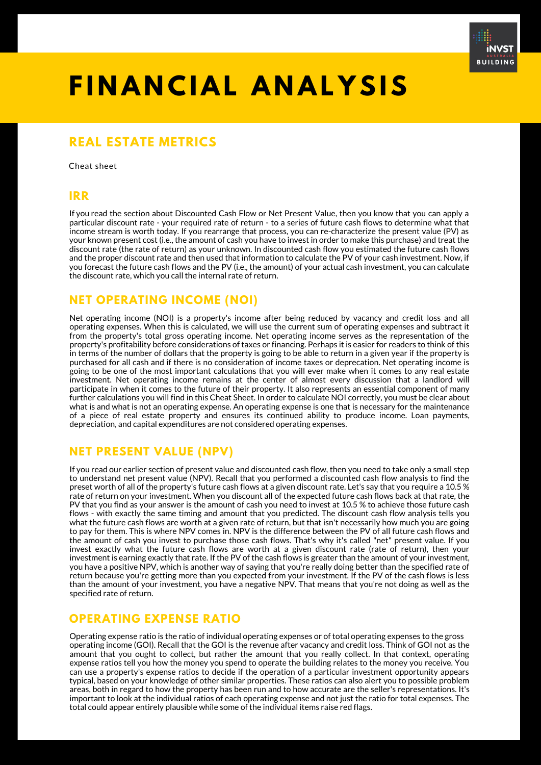

# **F I N A N C I A L A N A L Y SIS**

## **REAL ESTATE METRICS**

Cheat sheet

#### **IRR**

If you read the section about Discounted Cash Flow or Net Present Value, then you know that you can apply a particular discount rate - your required rate of return - to a series of future cash flows to determine what that income stream is worth today. If you rearrange that process, you can re-characterize the present value (PV) as your known present cost (i.e., the amount of cash you have to invest in order to make this purchase) and treat the discount rate (the rate of return) as your unknown. In discounted cash flow you estimated the future cash flows and the proper discount rate and then used that information to calculate the PV of your cash investment. Now, if you forecast the future cash flows and the PV (i.e., the amount) of your actual cash investment, you can calculate the discount rate, which you call the internal rate of return.

### **NET OPERATING INCOME (NOI)**

Net operating income (NOI) is a property's income after being reduced by vacancy and credit loss and all operating expenses. When this is calculated, we will use the current sum of operating expenses and subtract it from the property's total gross operating income. Net operating income serves as the representation of the property's profitability before considerations of taxes or financing. Perhaps it is easier for readers to think of this in terms of the number of dollars that the property is going to be able to return in a given year if the property is purchased for all cash and if there is no consideration of income taxes or deprecation. Net operating income is going to be one of the most important calculations that you will ever make when it comes to any real estate investment. Net operating income remains at the center of almost every discussion that a landlord will participate in when it comes to the future of their property. It also represents an essential component of many further calculations you will find in this Cheat Sheet. In order to calculate NOI correctly, you must be clear about what is and what is not an operating expense. An operating expense is one that is necessary for the maintenance of a piece of real estate property and ensures its continued ability to produce income. Loan payments, depreciation, and capital expenditures are not considered operating expenses.

### **NET PRESENT VALUE (NPV)**

If you read our earlier section of present value and discounted cash flow, then you need to take only a small step to understand net present value (NPV). Recall that you performed a discounted cash flow analysis to find the preset worth of all of the property's future cash flows at a given discount rate. Let's say that you require a 10.5 % rate of return on your investment. When you discount all of the expected future cash flows back at that rate, the PV that you find as your answer is the amount of cash you need to invest at 10.5 % to achieve those future cash flows - with exactly the same timing and amount that you predicted. The discount cash flow analysis tells you what the future cash flows are worth at a given rate of return, but that isn't necessarily how much you are going to pay for them. This is where NPV comes in. NPV is the difference between the PV of all future cash flows and the amount of cash you invest to purchase those cash flows. That's why it's called "net" present value. If you invest exactly what the future cash flows are worth at a given discount rate (rate of return), then your investment is earning exactly that rate. If the PV of the cash flows is greater than the amount of your investment, you have a positive NPV, which is another way of saying that you're really doing better than the specified rate of return because you're getting more than you expected from your investment. If the PV of the cash flows is less than the amount of your investment, you have a negative NPV. That means that you're not doing as well as the specified rate of return.

## **OPERATING EXPENSE RATIO**

Operating expense ratio is the ratio of individual operating expenses or of total operating expenses to the gross operating income (GOI). Recall that the GOI is the revenue after vacancy and credit loss. Think of GOI not as the amount that you ought to collect, but rather the amount that you really collect. In that context, operating expense ratios tell you how the money you spend to operate the building relates to the money you receive. You can use a property's expense ratios to decide if the operation of a particular investment opportunity appears typical, based on your knowledge of other similar properties. These ratios can also alert you to possible problem areas, both in regard to how the property has been run and to how accurate are the seller's representations. It's important to look at the individual ratios of each operating expense and not just the ratio for total expenses. The total could appear entirely plausible while some of the individual items raise red flags.